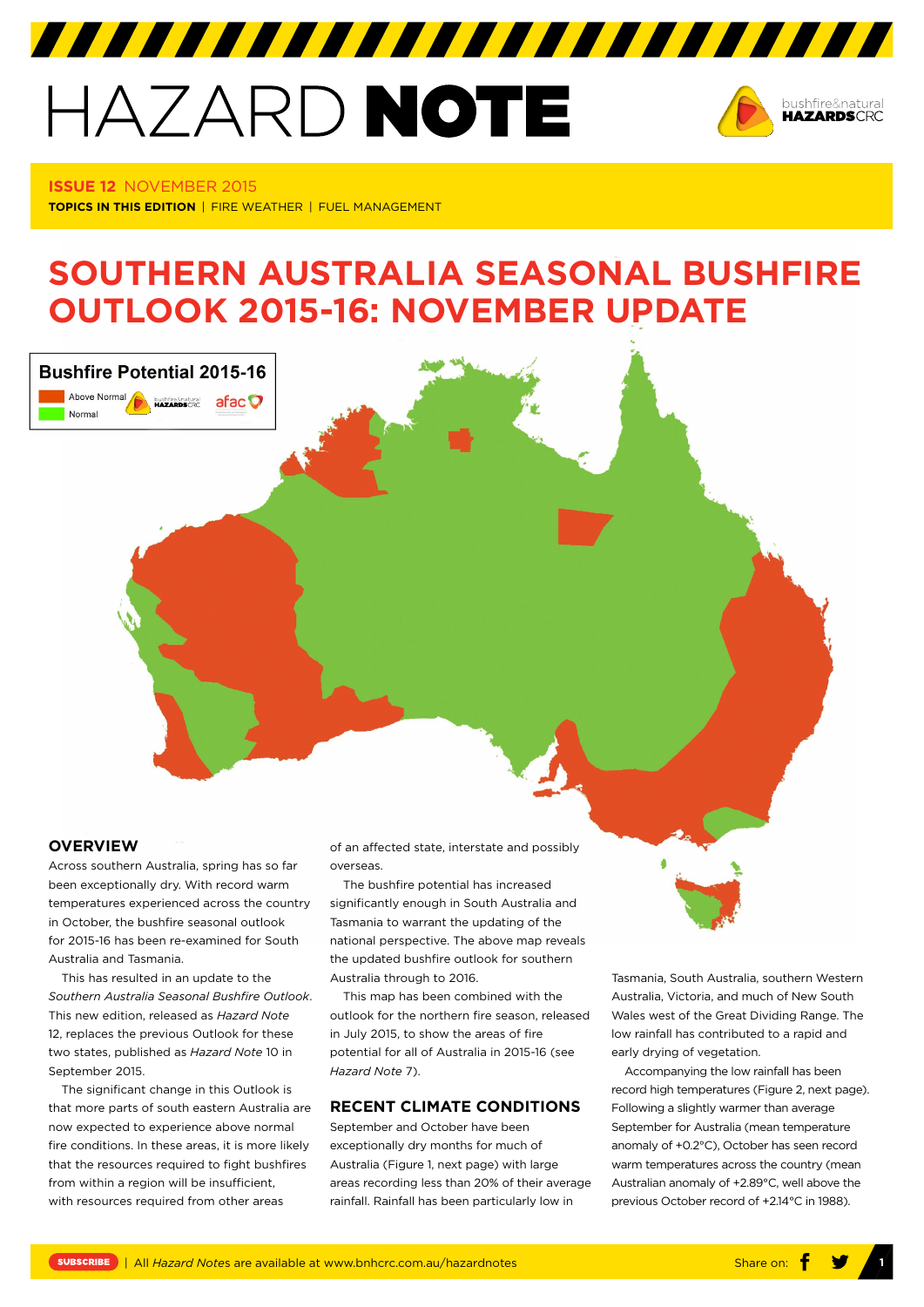# HAZARD NOTE



**ISSUE 12** NOVEMBER 2015 **TOPICS IN THIS EDITION** | FIRE WEATHER | FUEL MANAGEMENT

# **SOUTHERN AUSTRALIA SEASONAL BUSHFIRE OUTLOOK 2015-16: NOVEMBER UPDATE**



# **OVERVIEW**

Across southern Australia, spring has so far been exceptionally dry. With record warm temperatures experienced across the country in October, the bushfire seasonal outlook for 2015-16 has been re-examined for South Australia and Tasmania.

This has resulted in an update to the *Southern Australia Seasonal Bushfire Outlook*. This new edition, released as *Hazard Note* 12, replaces the previous Outlook for these two states, published as *Hazard Note* 10 in September 2015.

The significant change in this Outlook is that more parts of south eastern Australia are now expected to experience above normal fire conditions. In these areas, it is more likely that the resources required to fight bushfires from within a region will be insufficient, with resources required from other areas

of an affected state, interstate and possibly overseas.

The bushfire potential has increased significantly enough in South Australia and Tasmania to warrant the updating of the national perspective. The above map reveals the updated bushfire outlook for southern Australia through to 2016.

This map has been combined with the outlook for the northern fire season, released in July 2015, to show the areas of fire potential for all of Australia in 2015-16 (see *Hazard Note* 7).

## **RECENT CLIMATE CONDITIONS**

September and October have been exceptionally dry months for much of Australia (Figure 1, next page) with large areas recording less than 20% of their average rainfall. Rainfall has been particularly low in

Tasmania, South Australia, southern Western Australia, Victoria, and much of New South Wales west of the Great Dividing Range. The low rainfall has contributed to a rapid and early drying of vegetation.

Accompanying the low rainfall has been record high temperatures (Figure 2, next page). Following a slightly warmer than average September for Australia (mean temperature anomaly of +0.2°C), October has seen record warm temperatures across the country (mean Australian anomaly of +2.89°C, well above the previous October record of +2.14°C in 1988).